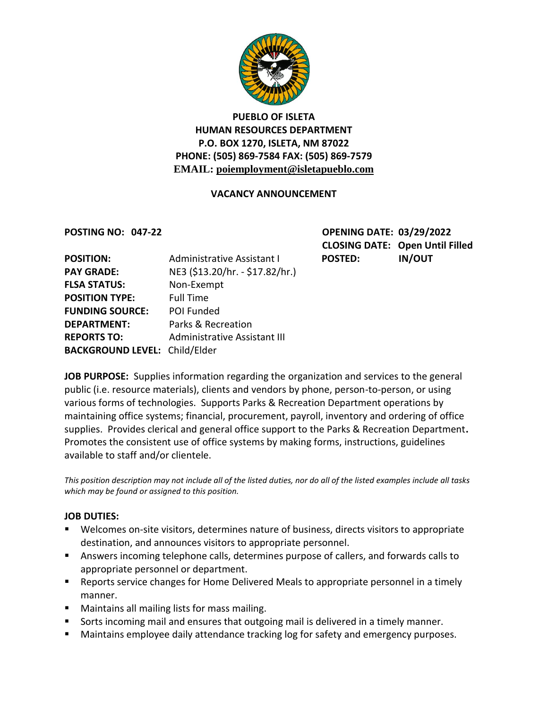

# **PUEBLO OF ISLETA HUMAN RESOURCES DEPARTMENT P.O. BOX 1270, ISLETA, NM 87022 PHONE: (505) 869-7584 FAX: (505) 869-7579 EMAIL: poiemployment@isletapueblo.com**

## **VACANCY ANNOUNCEMENT**

**POSTING NO: 047-22 OPENING DATE: 03/29/2022 CLOSING DATE: Open Until Filled**

| <b>POSITION:</b>                     | Administrative Assistant I      | <b>POSTED:</b> | <b>IN/OUT</b> |
|--------------------------------------|---------------------------------|----------------|---------------|
| <b>PAY GRADE:</b>                    | NE3 (\$13.20/hr. - \$17.82/hr.) |                |               |
| <b>FLSA STATUS:</b>                  | Non-Exempt                      |                |               |
| <b>POSITION TYPE:</b>                | <b>Full Time</b>                |                |               |
| <b>FUNDING SOURCE:</b>               | POI Funded                      |                |               |
| <b>DEPARTMENT:</b>                   | Parks & Recreation              |                |               |
| <b>REPORTS TO:</b>                   | Administrative Assistant III    |                |               |
| <b>BACKGROUND LEVEL: Child/Elder</b> |                                 |                |               |

**JOB PURPOSE:** Supplies information regarding the organization and services to the general public (i.e. resource materials), clients and vendors by phone, person-to-person, or using various forms of technologies. Supports Parks & Recreation Department operations by maintaining office systems; financial, procurement, payroll, inventory and ordering of office supplies.Provides clerical and general office support to the Parks & Recreation Department**.**  Promotes the consistent use of office systems by making forms, instructions, guidelines available to staff and/or clientele.

*This position description may not include all of the listed duties, nor do all of the listed examples include all tasks which may be found or assigned to this position.*

## **JOB DUTIES:**

- Welcomes on-site visitors, determines nature of business, directs visitors to appropriate destination, and announces visitors to appropriate personnel.
- Answers incoming telephone calls, determines purpose of callers, and forwards calls to appropriate personnel or department.
- **Reports service changes for Home Delivered Meals to appropriate personnel in a timely** manner.
- Maintains all mailing lists for mass mailing.
- Sorts incoming mail and ensures that outgoing mail is delivered in a timely manner.
- **Maintains employee daily attendance tracking log for safety and emergency purposes.**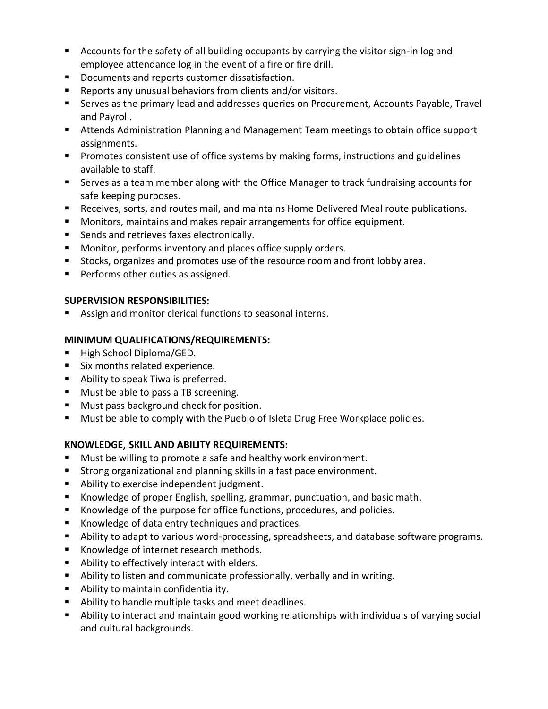- Accounts for the safety of all building occupants by carrying the visitor sign-in log and employee attendance log in the event of a fire or fire drill.
- Documents and reports customer dissatisfaction.
- Reports any unusual behaviors from clients and/or visitors.
- Serves as the primary lead and addresses queries on Procurement, Accounts Payable, Travel and Payroll.
- Attends Administration Planning and Management Team meetings to obtain office support assignments.
- **Promotes consistent use of office systems by making forms, instructions and guidelines** available to staff.
- Serves as a team member along with the Office Manager to track fundraising accounts for safe keeping purposes.
- Receives, sorts, and routes mail, and maintains Home Delivered Meal route publications.
- Monitors, maintains and makes repair arrangements for office equipment.
- **Sends and retrieves faxes electronically.**
- **Monitor, performs inventory and places office supply orders.**
- **Stocks, organizes and promotes use of the resource room and front lobby area.**
- **Performs other duties as assigned.**

## **SUPERVISION RESPONSIBILITIES:**

Assign and monitor clerical functions to seasonal interns.

## **MINIMUM QUALIFICATIONS/REQUIREMENTS:**

- High School Diploma/GED.
- Six months related experience.
- Ability to speak Tiwa is preferred.
- **Must be able to pass a TB screening.**
- **Must pass background check for position.**
- Must be able to comply with the Pueblo of Isleta Drug Free Workplace policies.

# **KNOWLEDGE, SKILL AND ABILITY REQUIREMENTS:**

- Must be willing to promote a safe and healthy work environment.
- **Strong organizational and planning skills in a fast pace environment.**
- **Ability to exercise independent judgment.**
- Knowledge of proper English, spelling, grammar, punctuation, and basic math.
- Knowledge of the purpose for office functions, procedures, and policies.
- Knowledge of data entry techniques and practices.
- Ability to adapt to various word-processing, spreadsheets, and database software programs.
- **Knowledge of internet research methods.**
- Ability to effectively interact with elders.
- Ability to listen and communicate professionally, verbally and in writing.
- **Ability to maintain confidentiality.**
- Ability to handle multiple tasks and meet deadlines.
- Ability to interact and maintain good working relationships with individuals of varying social and cultural backgrounds.